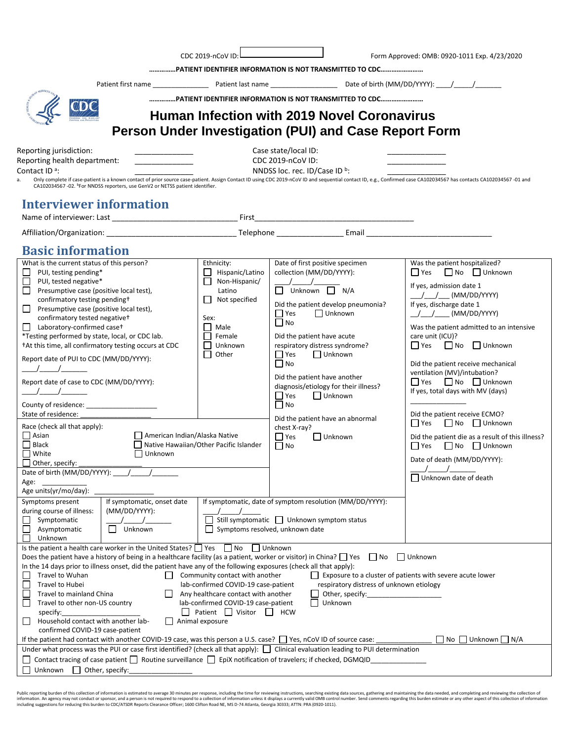|                                                                                                                                                                                                                                                                                                                        | CDC 2019-nCoV ID:                        |                                                                               | Form Approved: OMB: 0920-1011 Exp. 4/23/2020                                                                                                                                                                                                                                                                                                                                                                                      |  |  |  |
|------------------------------------------------------------------------------------------------------------------------------------------------------------------------------------------------------------------------------------------------------------------------------------------------------------------------|------------------------------------------|-------------------------------------------------------------------------------|-----------------------------------------------------------------------------------------------------------------------------------------------------------------------------------------------------------------------------------------------------------------------------------------------------------------------------------------------------------------------------------------------------------------------------------|--|--|--|
|                                                                                                                                                                                                                                                                                                                        |                                          | PATIENT IDENTIFIER INFORMATION IS NOT TRANSMITTED TO CDC                      |                                                                                                                                                                                                                                                                                                                                                                                                                                   |  |  |  |
|                                                                                                                                                                                                                                                                                                                        |                                          |                                                                               |                                                                                                                                                                                                                                                                                                                                                                                                                                   |  |  |  |
|                                                                                                                                                                                                                                                                                                                        |                                          | PATIENT IDENTIFIER INFORMATION IS NOT TRANSMITTED TO CDC                      |                                                                                                                                                                                                                                                                                                                                                                                                                                   |  |  |  |
| $\emptyset\emptyset$                                                                                                                                                                                                                                                                                                   |                                          | <b>Human Infection with 2019 Novel Coronavirus</b>                            |                                                                                                                                                                                                                                                                                                                                                                                                                                   |  |  |  |
|                                                                                                                                                                                                                                                                                                                        |                                          | Person Under Investigation (PUI) and Case Report Form                         |                                                                                                                                                                                                                                                                                                                                                                                                                                   |  |  |  |
|                                                                                                                                                                                                                                                                                                                        |                                          |                                                                               |                                                                                                                                                                                                                                                                                                                                                                                                                                   |  |  |  |
| Reporting jurisdiction:<br>Reporting health department:                                                                                                                                                                                                                                                                |                                          | Case state/local ID:<br>CDC 2019-nCoV ID:                                     |                                                                                                                                                                                                                                                                                                                                                                                                                                   |  |  |  |
| Contact ID $a$ :                                                                                                                                                                                                                                                                                                       |                                          | NNDSS loc. rec. ID/Case ID b:                                                 |                                                                                                                                                                                                                                                                                                                                                                                                                                   |  |  |  |
| Only complete if case-patient is a known contact of prior source case-patient. Assign Contact ID using CDC 2019-nCoV ID and sequential contact ID, e.g., Confirmed case CA102034567 has contacts CA102034567-01 and<br>a.<br>CA102034567 -02. <sup>b</sup> For NNDSS reporters, use GenV2 or NETSS patient identifier. |                                          |                                                                               |                                                                                                                                                                                                                                                                                                                                                                                                                                   |  |  |  |
| <b>Interviewer information</b>                                                                                                                                                                                                                                                                                         |                                          |                                                                               |                                                                                                                                                                                                                                                                                                                                                                                                                                   |  |  |  |
|                                                                                                                                                                                                                                                                                                                        |                                          |                                                                               |                                                                                                                                                                                                                                                                                                                                                                                                                                   |  |  |  |
|                                                                                                                                                                                                                                                                                                                        |                                          |                                                                               |                                                                                                                                                                                                                                                                                                                                                                                                                                   |  |  |  |
|                                                                                                                                                                                                                                                                                                                        |                                          |                                                                               |                                                                                                                                                                                                                                                                                                                                                                                                                                   |  |  |  |
| <b>Basic information</b><br>What is the current status of this person?                                                                                                                                                                                                                                                 | Ethnicity:                               | Date of first positive specimen                                               | Was the patient hospitalized?                                                                                                                                                                                                                                                                                                                                                                                                     |  |  |  |
| $\Box$<br>PUI, testing pending*                                                                                                                                                                                                                                                                                        | Hispanic/Latino                          | collection (MM/DD/YYYY):                                                      | $\Box$ Yes $\Box$ No $\Box$ Unknown                                                                                                                                                                                                                                                                                                                                                                                               |  |  |  |
| П<br>PUI, tested negative*<br>Presumptive case (positive local test),                                                                                                                                                                                                                                                  | П<br>Non-Hispanic/<br>Latino             | Unknown N/A                                                                   | If yes, admission date 1                                                                                                                                                                                                                                                                                                                                                                                                          |  |  |  |
| confirmatory testing pending+                                                                                                                                                                                                                                                                                          | Not specified<br>$\mathsf{L}$            | Did the patient develop pneumonia?                                            | $/$ / (MM/DD/YYYY)<br>If yes, discharge date 1                                                                                                                                                                                                                                                                                                                                                                                    |  |  |  |
| Presumptive case (positive local test),<br>confirmatory tested negative+                                                                                                                                                                                                                                               | Sex:                                     | $\Box$ Unknown<br>$\Box$ Yes                                                  | $\frac{1}{\sqrt{1-\frac{1}{\sqrt{1-\frac{1}{\sqrt{1-\frac{1}{\sqrt{1-\frac{1}{\sqrt{1-\frac{1}{\sqrt{1-\frac{1}{\sqrt{1-\frac{1}{\sqrt{1-\frac{1}{\sqrt{1-\frac{1}{\sqrt{1-\frac{1}{\sqrt{1-\frac{1}{\sqrt{1-\frac{1}{\sqrt{1-\frac{1}{\sqrt{1-\frac{1}{\sqrt{1-\frac{1}{\sqrt{1-\frac{1}{\sqrt{1-\frac{1}{\sqrt{1-\frac{1}{\sqrt{1-\frac{1}{\sqrt{1-\frac{1}{\sqrt{1-\frac{1}{\sqrt{1-\frac{1}{\sqrt{1-\frac{1}{\sqrt{1-\frac{1$ |  |  |  |
| $\mathsf{L}$<br>Laboratory-confirmed case+                                                                                                                                                                                                                                                                             | Male                                     | $\Box$ No                                                                     | Was the patient admitted to an intensive                                                                                                                                                                                                                                                                                                                                                                                          |  |  |  |
| *Testing performed by state, local, or CDC lab.<br>+At this time, all confirmatory testing occurs at CDC                                                                                                                                                                                                               | Female<br>Unknown                        | Did the patient have acute<br>respiratory distress syndrome?                  | care unit (ICU)?<br>$\Box$ Yes $\Box$ No $\Box$ Unknown                                                                                                                                                                                                                                                                                                                                                                           |  |  |  |
| Report date of PUI to CDC (MM/DD/YYYY):                                                                                                                                                                                                                                                                                | Other                                    | $\Box$ Yes<br>$\Box$ Unknown                                                  |                                                                                                                                                                                                                                                                                                                                                                                                                                   |  |  |  |
|                                                                                                                                                                                                                                                                                                                        |                                          | $\Box$ No                                                                     | Did the patient receive mechanical<br>ventilation (MV)/intubation?                                                                                                                                                                                                                                                                                                                                                                |  |  |  |
| Report date of case to CDC (MM/DD/YYYY):                                                                                                                                                                                                                                                                               |                                          | Did the patient have another<br>diagnosis/etiology for their illness?         | $\Box$ Yes $\Box$ No $\Box$ Unknown<br>If yes, total days with MV (days)                                                                                                                                                                                                                                                                                                                                                          |  |  |  |
| $\sqrt{2}$<br>County of residence: _____________________                                                                                                                                                                                                                                                               |                                          | $\Box$ Yes<br>$\Box$ Unknown<br>$\Box$ No                                     |                                                                                                                                                                                                                                                                                                                                                                                                                                   |  |  |  |
| State of residence:                                                                                                                                                                                                                                                                                                    |                                          | Did the patient have an abnormal                                              | Did the patient receive ECMO?                                                                                                                                                                                                                                                                                                                                                                                                     |  |  |  |
| Race (check all that apply):                                                                                                                                                                                                                                                                                           |                                          | chest X-ray?                                                                  | $\Box$ Yes $\Box$ No $\Box$ Unknown                                                                                                                                                                                                                                                                                                                                                                                               |  |  |  |
| Asian<br>American Indian/Alaska Native<br>Black                                                                                                                                                                                                                                                                        | Native Hawaiian/Other Pacific Islander   | $\Box$ Yes<br>Unknown<br>$\Box$ No                                            | Did the patient die as a result of this illness?<br>$\Box$ Yes $\Box$ No $\Box$ Unknown                                                                                                                                                                                                                                                                                                                                           |  |  |  |
| White<br>    Unknown                                                                                                                                                                                                                                                                                                   |                                          |                                                                               | Date of death (MM/DD/YYYY):                                                                                                                                                                                                                                                                                                                                                                                                       |  |  |  |
| Other, specify:<br>Date of birth (MM/DD/YYYY):                                                                                                                                                                                                                                                                         |                                          |                                                                               |                                                                                                                                                                                                                                                                                                                                                                                                                                   |  |  |  |
| Age:                                                                                                                                                                                                                                                                                                                   |                                          |                                                                               | Unknown date of death                                                                                                                                                                                                                                                                                                                                                                                                             |  |  |  |
| Age units(yr/mo/day):<br>Symptoms present<br>If symptomatic, onset date                                                                                                                                                                                                                                                |                                          | If symptomatic, date of symptom resolution (MM/DD/YYYY):                      |                                                                                                                                                                                                                                                                                                                                                                                                                                   |  |  |  |
| (MM/DD/YYYY):<br>during course of illness:                                                                                                                                                                                                                                                                             |                                          |                                                                               |                                                                                                                                                                                                                                                                                                                                                                                                                                   |  |  |  |
| Symptomatic<br>Unknown<br>Asymptomatic                                                                                                                                                                                                                                                                                 |                                          | Still symptomatic □ Unknown symptom status<br>Symptoms resolved, unknown date |                                                                                                                                                                                                                                                                                                                                                                                                                                   |  |  |  |
| $\mathsf{L}$<br>Unknown<br>Is the patient a health care worker in the United States? $\Box$ Yes $\Box$ No $\Box$ Unknown                                                                                                                                                                                               |                                          |                                                                               |                                                                                                                                                                                                                                                                                                                                                                                                                                   |  |  |  |
| Does the patient have a history of being in a healthcare facility (as a patient, worker or visitor) in China? $\Box$ Yes                                                                                                                                                                                               |                                          | $\blacksquare$ No                                                             | Unknown                                                                                                                                                                                                                                                                                                                                                                                                                           |  |  |  |
| In the 14 days prior to illness onset, did the patient have any of the following exposures (check all that apply):                                                                                                                                                                                                     |                                          |                                                                               |                                                                                                                                                                                                                                                                                                                                                                                                                                   |  |  |  |
| Travel to Wuhan<br>$\Box$ Community contact with another<br>Exposure to a cluster of patients with severe acute lower<br>Travel to Hubei<br>lab-confirmed COVID-19 case-patient<br>respiratory distress of unknown etiology                                                                                            |                                          |                                                                               |                                                                                                                                                                                                                                                                                                                                                                                                                                   |  |  |  |
| Any healthcare contact with another<br>Travel to mainland China<br>Other, specify: <u>contained</u><br>Unknown<br>Travel to other non-US country<br>lab-confirmed COVID-19 case-patient                                                                                                                                |                                          |                                                                               |                                                                                                                                                                                                                                                                                                                                                                                                                                   |  |  |  |
| specify:                                                                                                                                                                                                                                                                                                               | $\Box$ Patient $\Box$ Visitor $\Box$ HCW |                                                                               |                                                                                                                                                                                                                                                                                                                                                                                                                                   |  |  |  |
| Household contact with another lab-<br>$\Box$<br>confirmed COVID-19 case-patient                                                                                                                                                                                                                                       | $\Box$ Animal exposure                   |                                                                               |                                                                                                                                                                                                                                                                                                                                                                                                                                   |  |  |  |
| If the patient had contact with another COVID-19 case, was this person a U.S. case? Thes, nCoVID of source case:<br>$\Box$ No $\Box$ Unknown $\Box$ N/A                                                                                                                                                                |                                          |                                                                               |                                                                                                                                                                                                                                                                                                                                                                                                                                   |  |  |  |
| Under what process was the PUI or case first identified? (check all that apply): [ Clinical evaluation leading to PUI determination<br>Contact tracing of case patient $\Box$ Routine surveillance $\Box$ EpiX notification of travelers; if checked, DGMQID                                                           |                                          |                                                                               |                                                                                                                                                                                                                                                                                                                                                                                                                                   |  |  |  |
| Unknown<br>$\Box$ Other, specify:<br>$\mathsf{L}$                                                                                                                                                                                                                                                                      |                                          |                                                                               |                                                                                                                                                                                                                                                                                                                                                                                                                                   |  |  |  |

Public reporting burden of this collection of information is estimated to average 30 minutes per response, including the time for reviewing instructions, searching existing data sources, gathering and maintaining the data